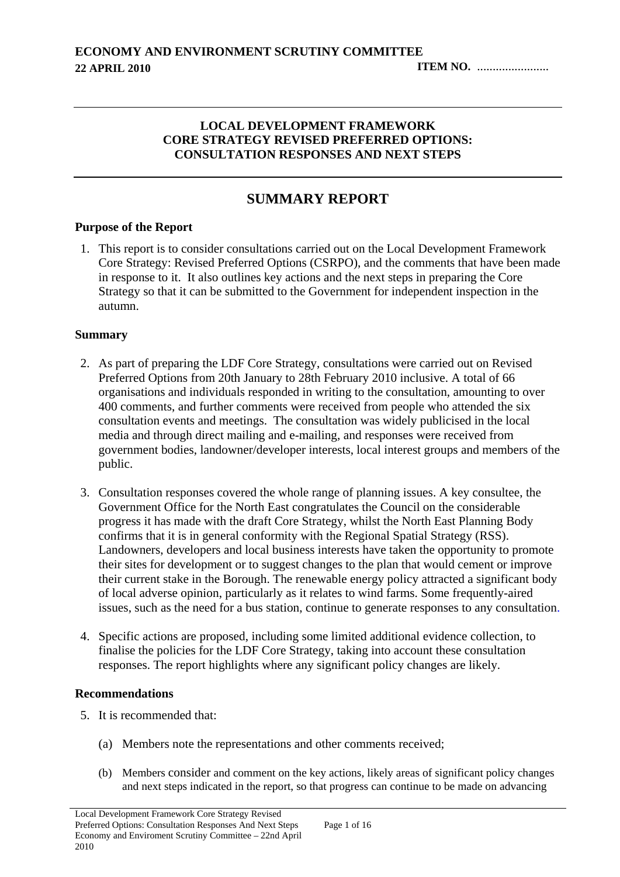#### **LOCAL DEVELOPMENT FRAMEWORK CORE STRATEGY REVISED PREFERRED OPTIONS: CONSULTATION RESPONSES AND NEXT STEPS**

# **SUMMARY REPORT**

#### **Purpose of the Report**

1. This report is to consider consultations carried out on the Local Development Framework Core Strategy: Revised Preferred Options (CSRPO), and the comments that have been made in response to it. It also outlines key actions and the next steps in preparing the Core Strategy so that it can be submitted to the Government for independent inspection in the autumn.

#### **Summary**

- 2. As part of preparing the LDF Core Strategy, consultations were carried out on Revised Preferred Options from 20th January to 28th February 2010 inclusive. A total of 66 organisations and individuals responded in writing to the consultation, amounting to over 400 comments, and further comments were received from people who attended the six consultation events and meetings. The consultation was widely publicised in the local media and through direct mailing and e-mailing, and responses were received from government bodies, landowner/developer interests, local interest groups and members of the public.
- 3. Consultation responses covered the whole range of planning issues. A key consultee, the Government Office for the North East congratulates the Council on the considerable progress it has made with the draft Core Strategy, whilst the North East Planning Body confirms that it is in general conformity with the Regional Spatial Strategy (RSS). Landowners, developers and local business interests have taken the opportunity to promote their sites for development or to suggest changes to the plan that would cement or improve their current stake in the Borough. The renewable energy policy attracted a significant body of local adverse opinion, particularly as it relates to wind farms. Some frequently-aired issues, such as the need for a bus station, continue to generate responses to any consultation.
- 4. Specific actions are proposed, including some limited additional evidence collection, to finalise the policies for the LDF Core Strategy, taking into account these consultation responses. The report highlights where any significant policy changes are likely.

#### **Recommendations**

- 5. It is recommended that:
	- (a) Members note the representations and other comments received;
	- (b) Members consider and comment on the key actions, likely areas of significant policy changes and next steps indicated in the report, so that progress can continue to be made on advancing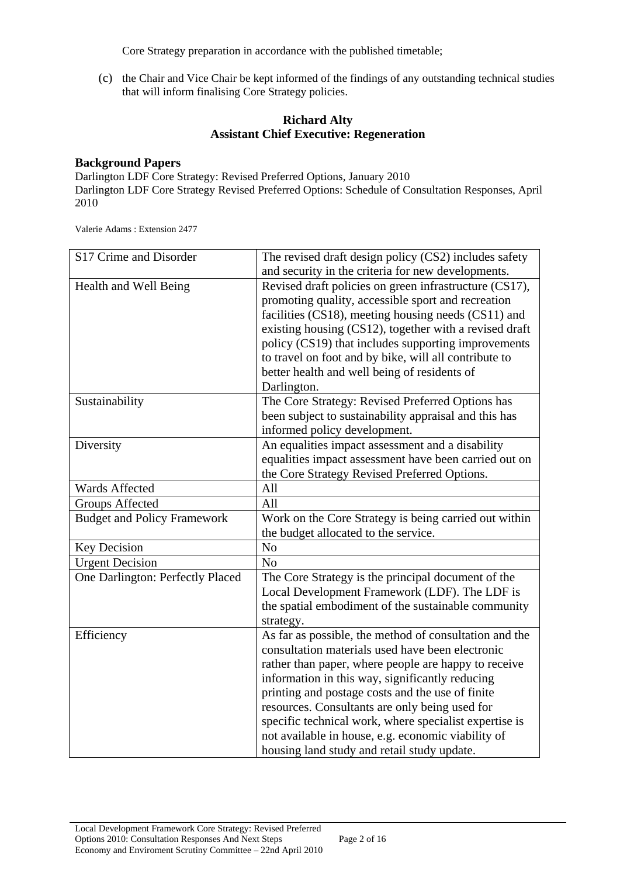Core Strategy preparation in accordance with the published timetable;

(c) the Chair and Vice Chair be kept informed of the findings of any outstanding technical studies that will inform finalising Core Strategy policies.

#### **Richard Alty Assistant Chief Executive: Regeneration**

#### **Background Papers**

Darlington LDF Core Strategy: Revised Preferred Options, January 2010 Darlington LDF Core Strategy Revised Preferred Options: Schedule of Consultation Responses, April 2010

Valerie Adams : Extension 2477

| S17 Crime and Disorder             | The revised draft design policy (CS2) includes safety  |
|------------------------------------|--------------------------------------------------------|
|                                    | and security in the criteria for new developments.     |
| Health and Well Being              | Revised draft policies on green infrastructure (CS17), |
|                                    | promoting quality, accessible sport and recreation     |
|                                    | facilities (CS18), meeting housing needs (CS11) and    |
|                                    | existing housing (CS12), together with a revised draft |
|                                    | policy (CS19) that includes supporting improvements    |
|                                    | to travel on foot and by bike, will all contribute to  |
|                                    | better health and well being of residents of           |
|                                    | Darlington.                                            |
| Sustainability                     | The Core Strategy: Revised Preferred Options has       |
|                                    | been subject to sustainability appraisal and this has  |
|                                    | informed policy development.                           |
| Diversity                          | An equalities impact assessment and a disability       |
|                                    | equalities impact assessment have been carried out on  |
|                                    | the Core Strategy Revised Preferred Options.           |
| Wards Affected                     | All                                                    |
| <b>Groups Affected</b>             | All                                                    |
| <b>Budget and Policy Framework</b> | Work on the Core Strategy is being carried out within  |
|                                    | the budget allocated to the service.                   |
| <b>Key Decision</b>                | N <sub>o</sub>                                         |
| <b>Urgent Decision</b>             | N <sub>o</sub>                                         |
| One Darlington: Perfectly Placed   | The Core Strategy is the principal document of the     |
|                                    | Local Development Framework (LDF). The LDF is          |
|                                    | the spatial embodiment of the sustainable community    |
|                                    | strategy.                                              |
| Efficiency                         | As far as possible, the method of consultation and the |
|                                    | consultation materials used have been electronic       |
|                                    | rather than paper, where people are happy to receive   |
|                                    | information in this way, significantly reducing        |
|                                    | printing and postage costs and the use of finite       |
|                                    | resources. Consultants are only being used for         |
|                                    | specific technical work, where specialist expertise is |
|                                    | not available in house, e.g. economic viability of     |
|                                    | housing land study and retail study update.            |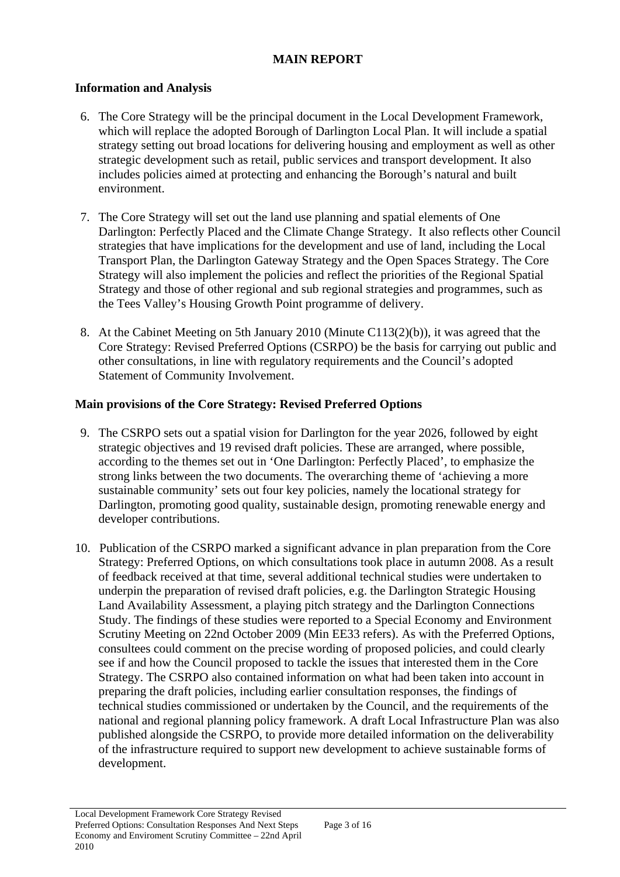## **MAIN REPORT**

## **Information and Analysis**

- 6. The Core Strategy will be the principal document in the Local Development Framework, which will replace the adopted Borough of Darlington Local Plan. It will include a spatial strategy setting out broad locations for delivering housing and employment as well as other strategic development such as retail, public services and transport development. It also includes policies aimed at protecting and enhancing the Borough's natural and built environment.
- 7. The Core Strategy will set out the land use planning and spatial elements of One Darlington: Perfectly Placed and the Climate Change Strategy. It also reflects other Council strategies that have implications for the development and use of land, including the Local Transport Plan, the Darlington Gateway Strategy and the Open Spaces Strategy. The Core Strategy will also implement the policies and reflect the priorities of the Regional Spatial Strategy and those of other regional and sub regional strategies and programmes, such as the Tees Valley's Housing Growth Point programme of delivery.
- 8. At the Cabinet Meeting on 5th January 2010 (Minute C113(2)(b)), it was agreed that the Core Strategy: Revised Preferred Options (CSRPO) be the basis for carrying out public and other consultations, in line with regulatory requirements and the Council's adopted Statement of Community Involvement.

## **Main provisions of the Core Strategy: Revised Preferred Options**

- 9. The CSRPO sets out a spatial vision for Darlington for the year 2026, followed by eight strategic objectives and 19 revised draft policies. These are arranged, where possible, according to the themes set out in 'One Darlington: Perfectly Placed', to emphasize the strong links between the two documents. The overarching theme of 'achieving a more sustainable community' sets out four key policies, namely the locational strategy for Darlington, promoting good quality, sustainable design, promoting renewable energy and developer contributions.
- 10. Publication of the CSRPO marked a significant advance in plan preparation from the Core Strategy: Preferred Options, on which consultations took place in autumn 2008. As a result of feedback received at that time, several additional technical studies were undertaken to underpin the preparation of revised draft policies, e.g. the Darlington Strategic Housing Land Availability Assessment, a playing pitch strategy and the Darlington Connections Study. The findings of these studies were reported to a Special Economy and Environment Scrutiny Meeting on 22nd October 2009 (Min EE33 refers). As with the Preferred Options, consultees could comment on the precise wording of proposed policies, and could clearly see if and how the Council proposed to tackle the issues that interested them in the Core Strategy. The CSRPO also contained information on what had been taken into account in preparing the draft policies, including earlier consultation responses, the findings of technical studies commissioned or undertaken by the Council, and the requirements of the national and regional planning policy framework. A draft Local Infrastructure Plan was also published alongside the CSRPO, to provide more detailed information on the deliverability of the infrastructure required to support new development to achieve sustainable forms of development.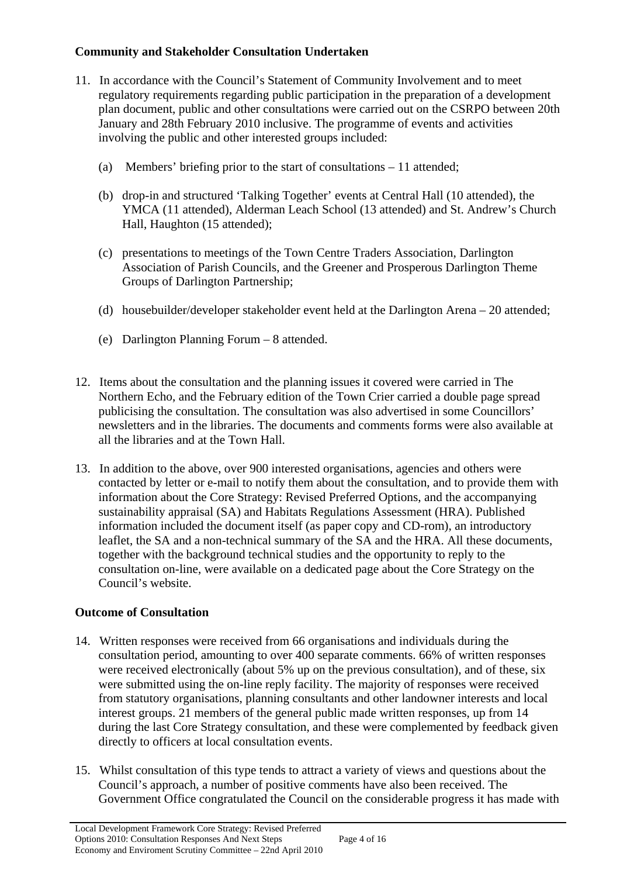## **Community and Stakeholder Consultation Undertaken**

- 11. In accordance with the Council's Statement of Community Involvement and to meet regulatory requirements regarding public participation in the preparation of a development plan document, public and other consultations were carried out on the CSRPO between 20th January and 28th February 2010 inclusive. The programme of events and activities involving the public and other interested groups included:
	- (a) Members' briefing prior to the start of consultations 11 attended;
	- (b) drop-in and structured 'Talking Together' events at Central Hall (10 attended), the YMCA (11 attended), Alderman Leach School (13 attended) and St. Andrew's Church Hall, Haughton (15 attended);
	- (c) presentations to meetings of the Town Centre Traders Association, Darlington Association of Parish Councils, and the Greener and Prosperous Darlington Theme Groups of Darlington Partnership;
	- (d) housebuilder/developer stakeholder event held at the Darlington Arena 20 attended;
	- (e) Darlington Planning Forum 8 attended.
- 12. Items about the consultation and the planning issues it covered were carried in The Northern Echo, and the February edition of the Town Crier carried a double page spread publicising the consultation. The consultation was also advertised in some Councillors' newsletters and in the libraries. The documents and comments forms were also available at all the libraries and at the Town Hall.
- 13. In addition to the above, over 900 interested organisations, agencies and others were contacted by letter or e-mail to notify them about the consultation, and to provide them with information about the Core Strategy: Revised Preferred Options, and the accompanying sustainability appraisal (SA) and Habitats Regulations Assessment (HRA). Published information included the document itself (as paper copy and CD-rom), an introductory leaflet, the SA and a non-technical summary of the SA and the HRA. All these documents, together with the background technical studies and the opportunity to reply to the consultation on-line, were available on a dedicated page about the Core Strategy on the Council's website.

# **Outcome of Consultation**

- 14. Written responses were received from 66 organisations and individuals during the consultation period, amounting to over 400 separate comments. 66% of written responses were received electronically (about 5% up on the previous consultation), and of these, six were submitted using the on-line reply facility. The majority of responses were received from statutory organisations, planning consultants and other landowner interests and local interest groups. 21 members of the general public made written responses, up from 14 during the last Core Strategy consultation, and these were complemented by feedback given directly to officers at local consultation events.
- 15. Whilst consultation of this type tends to attract a variety of views and questions about the Council's approach, a number of positive comments have also been received. The Government Office congratulated the Council on the considerable progress it has made with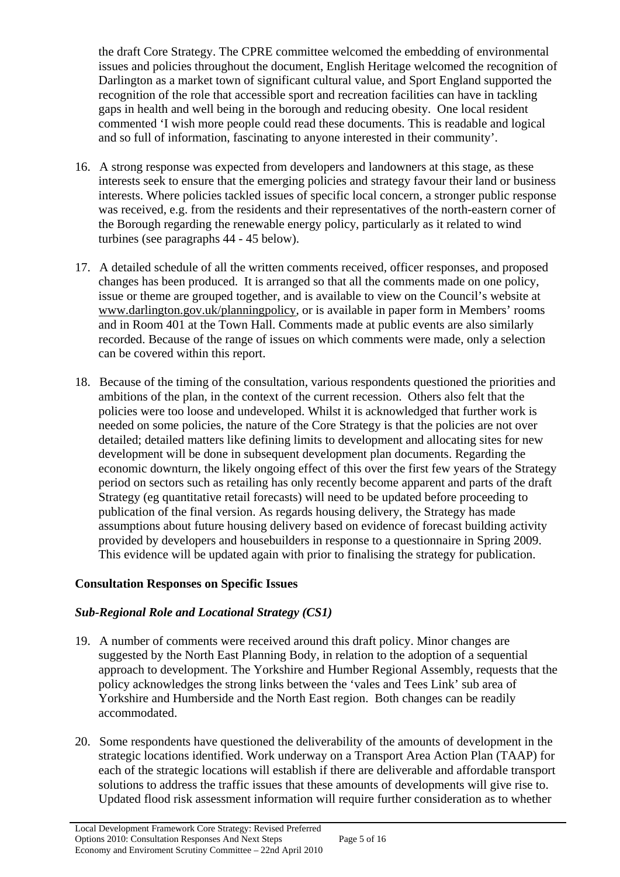the draft Core Strategy. The CPRE committee welcomed the embedding of environmental issues and policies throughout the document, English Heritage welcomed the recognition of Darlington as a market town of significant cultural value, and Sport England supported the recognition of the role that accessible sport and recreation facilities can have in tackling gaps in health and well being in the borough and reducing obesity. One local resident commented 'I wish more people could read these documents. This is readable and logical and so full of information, fascinating to anyone interested in their community'.

- 16. A strong response was expected from developers and landowners at this stage, as these interests seek to ensure that the emerging policies and strategy favour their land or business interests. Where policies tackled issues of specific local concern, a stronger public response was received, e.g. from the residents and their representatives of the north-eastern corner of the Borough regarding the renewable energy policy, particularly as it related to wind turbines (see paragraphs 44 - 45 below).
- 17. A detailed schedule of all the written comments received, officer responses, and proposed changes has been produced. It is arranged so that all the comments made on one policy, issue or theme are grouped together, and is available to view on the Council's website at [www.darlington.gov.uk/planningpolicy](http://www.darlington.gov.uk/planningpolicy), or is available in paper form in Members' rooms and in Room 401 at the Town Hall. Comments made at public events are also similarly recorded. Because of the range of issues on which comments were made, only a selection can be covered within this report.
- 18. Because of the timing of the consultation, various respondents questioned the priorities and ambitions of the plan, in the context of the current recession. Others also felt that the policies were too loose and undeveloped. Whilst it is acknowledged that further work is needed on some policies, the nature of the Core Strategy is that the policies are not over detailed; detailed matters like defining limits to development and allocating sites for new development will be done in subsequent development plan documents. Regarding the economic downturn, the likely ongoing effect of this over the first few years of the Strategy period on sectors such as retailing has only recently become apparent and parts of the draft Strategy (eg quantitative retail forecasts) will need to be updated before proceeding to publication of the final version. As regards housing delivery, the Strategy has made assumptions about future housing delivery based on evidence of forecast building activity provided by developers and housebuilders in response to a questionnaire in Spring 2009. This evidence will be updated again with prior to finalising the strategy for publication.

## **Consultation Responses on Specific Issues**

# *Sub-Regional Role and Locational Strategy (CS1)*

- 19. A number of comments were received around this draft policy. Minor changes are suggested by the North East Planning Body, in relation to the adoption of a sequential approach to development. The Yorkshire and Humber Regional Assembly, requests that the policy acknowledges the strong links between the 'vales and Tees Link' sub area of Yorkshire and Humberside and the North East region. Both changes can be readily accommodated.
- 20. Some respondents have questioned the deliverability of the amounts of development in the strategic locations identified. Work underway on a Transport Area Action Plan (TAAP) for each of the strategic locations will establish if there are deliverable and affordable transport solutions to address the traffic issues that these amounts of developments will give rise to. Updated flood risk assessment information will require further consideration as to whether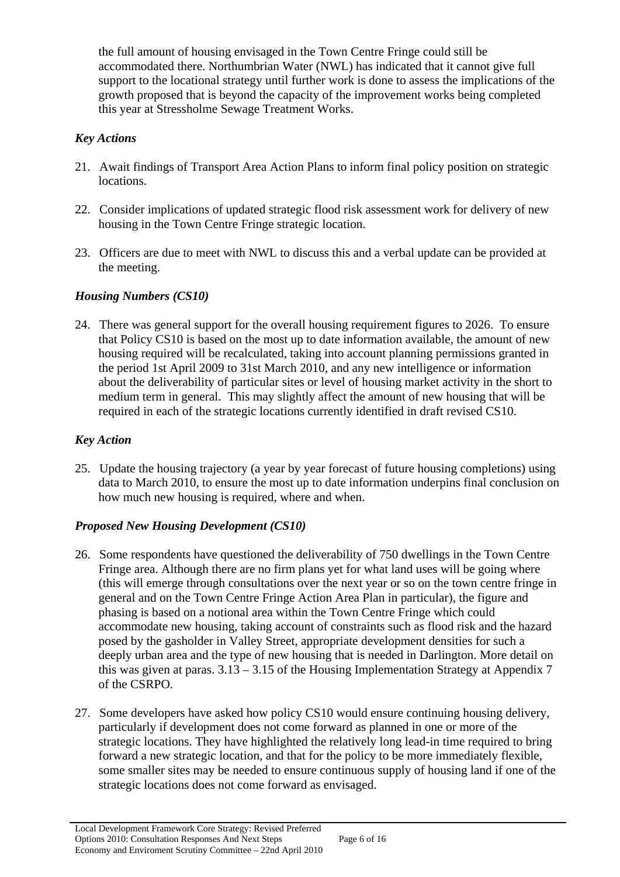the full amount of housing envisaged in the Town Centre Fringe could still be accommodated there. Northumbrian Water (NWL) has indicated that it cannot give full support to the locational strategy until further work is done to assess the implications of the growth proposed that is beyond the capacity of the improvement works being completed this year at Stressholme Sewage Treatment Works.

## *Key Actions*

- 21. Await findings of Transport Area Action Plans to inform final policy position on strategic locations.
- 22. Consider implications of updated strategic flood risk assessment work for delivery of new housing in the Town Centre Fringe strategic location.
- 23. Officers are due to meet with NWL to discuss this and a verbal update can be provided at the meeting.

## *Housing Numbers (CS10)*

24. There was general support for the overall housing requirement figures to 2026. To ensure that Policy CS10 is based on the most up to date information available, the amount of new housing required will be recalculated, taking into account planning permissions granted in the period 1st April 2009 to 31st March 2010, and any new intelligence or information about the deliverability of particular sites or level of housing market activity in the short to medium term in general. This may slightly affect the amount of new housing that will be required in each of the strategic locations currently identified in draft revised CS10.

## *Key Action*

25. Update the housing trajectory (a year by year forecast of future housing completions) using data to March 2010, to ensure the most up to date information underpins final conclusion on how much new housing is required, where and when.

# *Proposed New Housing Development (CS10)*

- 26. Some respondents have questioned the deliverability of 750 dwellings in the Town Centre Fringe area. Although there are no firm plans yet for what land uses will be going where (this will emerge through consultations over the next year or so on the town centre fringe in general and on the Town Centre Fringe Action Area Plan in particular), the figure and phasing is based on a notional area within the Town Centre Fringe which could accommodate new housing, taking account of constraints such as flood risk and the hazard posed by the gasholder in Valley Street, appropriate development densities for such a deeply urban area and the type of new housing that is needed in Darlington. More detail on this was given at paras.  $3.13 - 3.15$  of the Housing Implementation Strategy at Appendix 7 of the CSRPO.
- 27. Some developers have asked how policy CS10 would ensure continuing housing delivery, particularly if development does not come forward as planned in one or more of the strategic locations. They have highlighted the relatively long lead-in time required to bring forward a new strategic location, and that for the policy to be more immediately flexible, some smaller sites may be needed to ensure continuous supply of housing land if one of the strategic locations does not come forward as envisaged.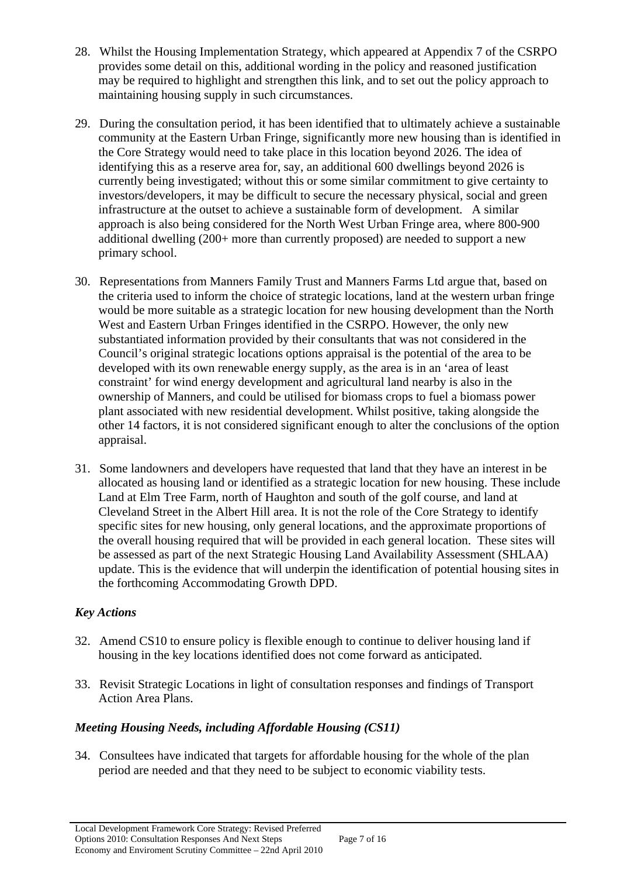- 28. Whilst the Housing Implementation Strategy, which appeared at Appendix 7 of the CSRPO provides some detail on this, additional wording in the policy and reasoned justification may be required to highlight and strengthen this link, and to set out the policy approach to maintaining housing supply in such circumstances.
- 29. During the consultation period, it has been identified that to ultimately achieve a sustainable community at the Eastern Urban Fringe, significantly more new housing than is identified in the Core Strategy would need to take place in this location beyond 2026. The idea of identifying this as a reserve area for, say, an additional 600 dwellings beyond 2026 is currently being investigated; without this or some similar commitment to give certainty to investors/developers, it may be difficult to secure the necessary physical, social and green infrastructure at the outset to achieve a sustainable form of development. A similar approach is also being considered for the North West Urban Fringe area, where 800-900 additional dwelling (200+ more than currently proposed) are needed to support a new primary school.
- 30. Representations from Manners Family Trust and Manners Farms Ltd argue that, based on the criteria used to inform the choice of strategic locations, land at the western urban fringe would be more suitable as a strategic location for new housing development than the North West and Eastern Urban Fringes identified in the CSRPO. However, the only new substantiated information provided by their consultants that was not considered in the Council's original strategic locations options appraisal is the potential of the area to be developed with its own renewable energy supply, as the area is in an 'area of least constraint' for wind energy development and agricultural land nearby is also in the ownership of Manners, and could be utilised for biomass crops to fuel a biomass power plant associated with new residential development. Whilst positive, taking alongside the other 14 factors, it is not considered significant enough to alter the conclusions of the option appraisal.
- 31. Some landowners and developers have requested that land that they have an interest in be allocated as housing land or identified as a strategic location for new housing. These include Land at Elm Tree Farm, north of Haughton and south of the golf course, and land at Cleveland Street in the Albert Hill area. It is not the role of the Core Strategy to identify specific sites for new housing, only general locations, and the approximate proportions of the overall housing required that will be provided in each general location. These sites will be assessed as part of the next Strategic Housing Land Availability Assessment (SHLAA) update. This is the evidence that will underpin the identification of potential housing sites in the forthcoming Accommodating Growth DPD.

# *Key Actions*

- 32. Amend CS10 to ensure policy is flexible enough to continue to deliver housing land if housing in the key locations identified does not come forward as anticipated.
- 33. Revisit Strategic Locations in light of consultation responses and findings of Transport Action Area Plans.

# *Meeting Housing Needs, including Affordable Housing (CS11)*

34. Consultees have indicated that targets for affordable housing for the whole of the plan period are needed and that they need to be subject to economic viability tests.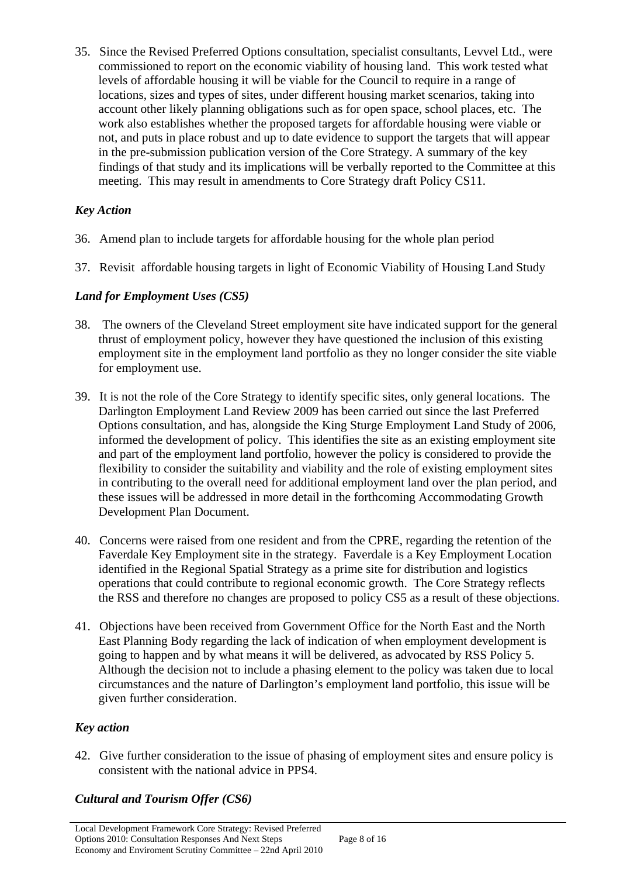35. Since the Revised Preferred Options consultation, specialist consultants, Levvel Ltd., were commissioned to report on the economic viability of housing land. This work tested what levels of affordable housing it will be viable for the Council to require in a range of locations, sizes and types of sites, under different housing market scenarios, taking into account other likely planning obligations such as for open space, school places, etc. The work also establishes whether the proposed targets for affordable housing were viable or not, and puts in place robust and up to date evidence to support the targets that will appear in the pre-submission publication version of the Core Strategy. A summary of the key findings of that study and its implications will be verbally reported to the Committee at this meeting. This may result in amendments to Core Strategy draft Policy CS11.

# *Key Action*

- 36. Amend plan to include targets for affordable housing for the whole plan period
- 37. Revisit affordable housing targets in light of Economic Viability of Housing Land Study

#### *Land for Employment Uses (CS5)*

- 38. The owners of the Cleveland Street employment site have indicated support for the general thrust of employment policy, however they have questioned the inclusion of this existing employment site in the employment land portfolio as they no longer consider the site viable for employment use.
- 39. It is not the role of the Core Strategy to identify specific sites, only general locations. The Darlington Employment Land Review 2009 has been carried out since the last Preferred Options consultation, and has, alongside the King Sturge Employment Land Study of 2006, informed the development of policy. This identifies the site as an existing employment site and part of the employment land portfolio, however the policy is considered to provide the flexibility to consider the suitability and viability and the role of existing employment sites in contributing to the overall need for additional employment land over the plan period, and these issues will be addressed in more detail in the forthcoming Accommodating Growth Development Plan Document.
- 40. Concerns were raised from one resident and from the CPRE, regarding the retention of the Faverdale Key Employment site in the strategy. Faverdale is a Key Employment Location identified in the Regional Spatial Strategy as a prime site for distribution and logistics operations that could contribute to regional economic growth. The Core Strategy reflects the RSS and therefore no changes are proposed to policy CS5 as a result of these objections.
- 41. Objections have been received from Government Office for the North East and the North East Planning Body regarding the lack of indication of when employment development is going to happen and by what means it will be delivered, as advocated by RSS Policy 5. Although the decision not to include a phasing element to the policy was taken due to local circumstances and the nature of Darlington's employment land portfolio, this issue will be given further consideration.

## *Key action*

42. Give further consideration to the issue of phasing of employment sites and ensure policy is consistent with the national advice in PPS4.

# *Cultural and Tourism Offer (CS6)*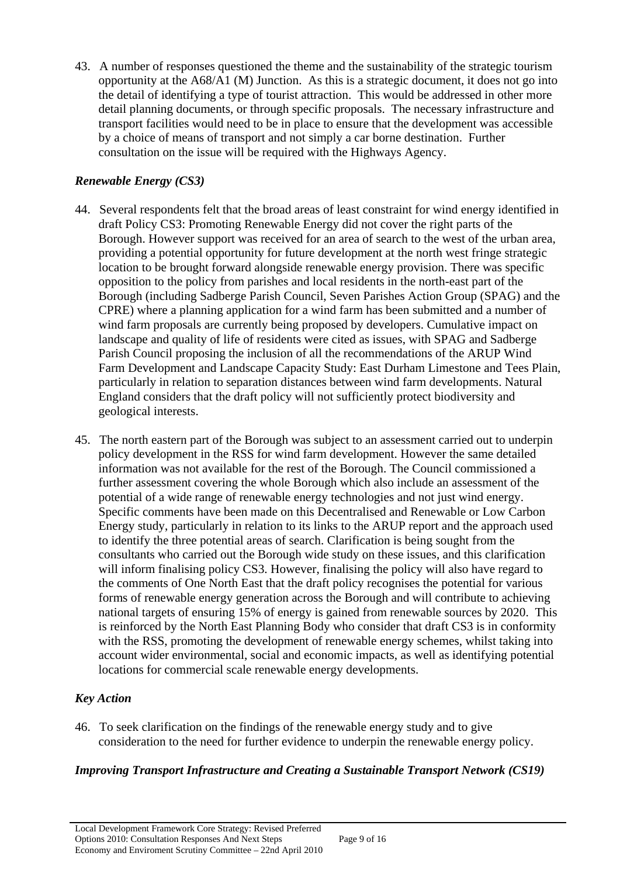43. A number of responses questioned the theme and the sustainability of the strategic tourism opportunity at the A68/A1 (M) Junction. As this is a strategic document, it does not go into the detail of identifying a type of tourist attraction. This would be addressed in other more detail planning documents, or through specific proposals. The necessary infrastructure and transport facilities would need to be in place to ensure that the development was accessible by a choice of means of transport and not simply a car borne destination. Further consultation on the issue will be required with the Highways Agency.

## *Renewable Energy (CS3)*

- 44. Several respondents felt that the broad areas of least constraint for wind energy identified in draft Policy CS3: Promoting Renewable Energy did not cover the right parts of the Borough. However support was received for an area of search to the west of the urban area, providing a potential opportunity for future development at the north west fringe strategic location to be brought forward alongside renewable energy provision. There was specific opposition to the policy from parishes and local residents in the north-east part of the Borough (including Sadberge Parish Council, Seven Parishes Action Group (SPAG) and the CPRE) where a planning application for a wind farm has been submitted and a number of wind farm proposals are currently being proposed by developers. Cumulative impact on landscape and quality of life of residents were cited as issues, with SPAG and Sadberge Parish Council proposing the inclusion of all the recommendations of the ARUP Wind Farm Development and Landscape Capacity Study: East Durham Limestone and Tees Plain, particularly in relation to separation distances between wind farm developments. Natural England considers that the draft policy will not sufficiently protect biodiversity and geological interests.
- 45. The north eastern part of the Borough was subject to an assessment carried out to underpin policy development in the RSS for wind farm development. However the same detailed information was not available for the rest of the Borough. The Council commissioned a further assessment covering the whole Borough which also include an assessment of the potential of a wide range of renewable energy technologies and not just wind energy. Specific comments have been made on this Decentralised and Renewable or Low Carbon Energy study, particularly in relation to its links to the ARUP report and the approach used to identify the three potential areas of search. Clarification is being sought from the consultants who carried out the Borough wide study on these issues, and this clarification will inform finalising policy CS3. However, finalising the policy will also have regard to the comments of One North East that the draft policy recognises the potential for various forms of renewable energy generation across the Borough and will contribute to achieving national targets of ensuring 15% of energy is gained from renewable sources by 2020. This is reinforced by the North East Planning Body who consider that draft CS3 is in conformity with the RSS, promoting the development of renewable energy schemes, whilst taking into account wider environmental, social and economic impacts, as well as identifying potential locations for commercial scale renewable energy developments.

## *Key Action*

46. To seek clarification on the findings of the renewable energy study and to give consideration to the need for further evidence to underpin the renewable energy policy.

## *Improving Transport Infrastructure and Creating a Sustainable Transport Network (CS19)*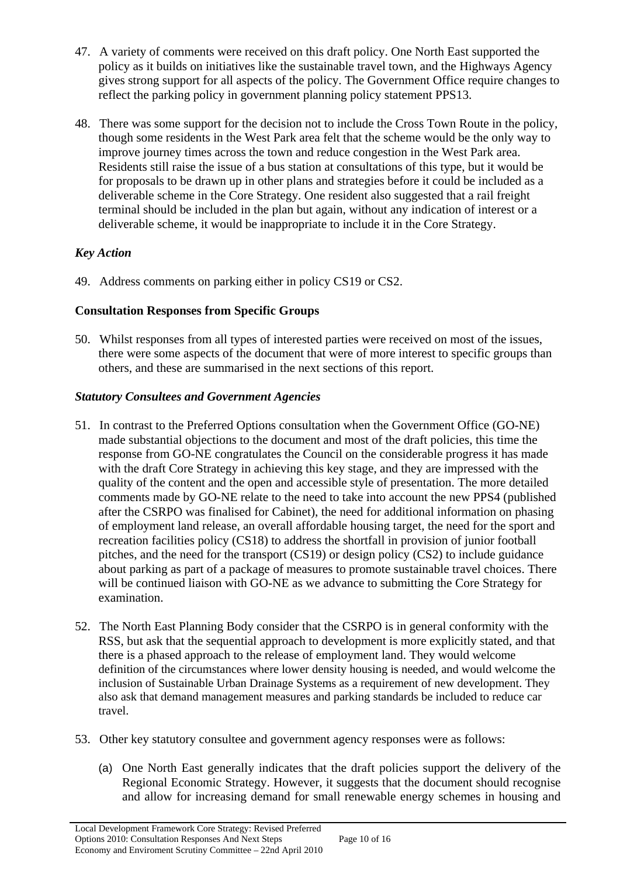- 47. A variety of comments were received on this draft policy. One North East supported the policy as it builds on initiatives like the sustainable travel town, and the Highways Agency gives strong support for all aspects of the policy. The Government Office require changes to reflect the parking policy in government planning policy statement PPS13.
- 48. There was some support for the decision not to include the Cross Town Route in the policy, though some residents in the West Park area felt that the scheme would be the only way to improve journey times across the town and reduce congestion in the West Park area. Residents still raise the issue of a bus station at consultations of this type, but it would be for proposals to be drawn up in other plans and strategies before it could be included as a deliverable scheme in the Core Strategy. One resident also suggested that a rail freight terminal should be included in the plan but again, without any indication of interest or a deliverable scheme, it would be inappropriate to include it in the Core Strategy.

# *Key Action*

49. Address comments on parking either in policy CS19 or CS2.

## **Consultation Responses from Specific Groups**

50. Whilst responses from all types of interested parties were received on most of the issues, there were some aspects of the document that were of more interest to specific groups than others, and these are summarised in the next sections of this report.

## *Statutory Consultees and Government Agencies*

- 51. In contrast to the Preferred Options consultation when the Government Office (GO-NE) made substantial objections to the document and most of the draft policies, this time the response from GO-NE congratulates the Council on the considerable progress it has made with the draft Core Strategy in achieving this key stage, and they are impressed with the quality of the content and the open and accessible style of presentation. The more detailed comments made by GO-NE relate to the need to take into account the new PPS4 (published after the CSRPO was finalised for Cabinet), the need for additional information on phasing of employment land release, an overall affordable housing target, the need for the sport and recreation facilities policy (CS18) to address the shortfall in provision of junior football pitches, and the need for the transport (CS19) or design policy (CS2) to include guidance about parking as part of a package of measures to promote sustainable travel choices. There will be continued liaison with GO-NE as we advance to submitting the Core Strategy for examination.
- 52. The North East Planning Body consider that the CSRPO is in general conformity with the RSS, but ask that the sequential approach to development is more explicitly stated, and that there is a phased approach to the release of employment land. They would welcome definition of the circumstances where lower density housing is needed, and would welcome the inclusion of Sustainable Urban Drainage Systems as a requirement of new development. They also ask that demand management measures and parking standards be included to reduce car travel.
- 53. Other key statutory consultee and government agency responses were as follows:
	- (a) One North East generally indicates that the draft policies support the delivery of the Regional Economic Strategy. However, it suggests that the document should recognise and allow for increasing demand for small renewable energy schemes in housing and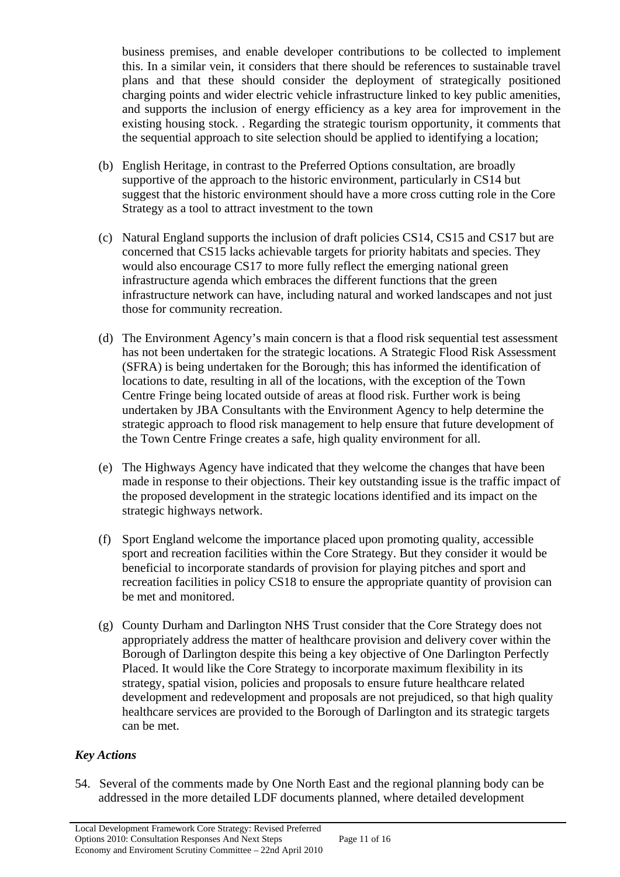business premises, and enable developer contributions to be collected to implement this. In a similar vein, it considers that there should be references to sustainable travel plans and that these should consider the deployment of strategically positioned charging points and wider electric vehicle infrastructure linked to key public amenities, and supports the inclusion of energy efficiency as a key area for improvement in the existing housing stock. . Regarding the strategic tourism opportunity, it comments that the sequential approach to site selection should be applied to identifying a location;

- (b) English Heritage, in contrast to the Preferred Options consultation, are broadly supportive of the approach to the historic environment, particularly in CS14 but suggest that the historic environment should have a more cross cutting role in the Core Strategy as a tool to attract investment to the town
- (c) Natural England supports the inclusion of draft policies CS14, CS15 and CS17 but are concerned that CS15 lacks achievable targets for priority habitats and species. They would also encourage CS17 to more fully reflect the emerging national green infrastructure agenda which embraces the different functions that the green infrastructure network can have, including natural and worked landscapes and not just those for community recreation.
- (d) The Environment Agency's main concern is that a flood risk sequential test assessment has not been undertaken for the strategic locations. A Strategic Flood Risk Assessment (SFRA) is being undertaken for the Borough; this has informed the identification of locations to date, resulting in all of the locations, with the exception of the Town Centre Fringe being located outside of areas at flood risk. Further work is being undertaken by JBA Consultants with the Environment Agency to help determine the strategic approach to flood risk management to help ensure that future development of the Town Centre Fringe creates a safe, high quality environment for all.
- (e) The Highways Agency have indicated that they welcome the changes that have been made in response to their objections. Their key outstanding issue is the traffic impact of the proposed development in the strategic locations identified and its impact on the strategic highways network.
- (f) Sport England welcome the importance placed upon promoting quality, accessible sport and recreation facilities within the Core Strategy. But they consider it would be beneficial to incorporate standards of provision for playing pitches and sport and recreation facilities in policy CS18 to ensure the appropriate quantity of provision can be met and monitored.
- (g) County Durham and Darlington NHS Trust consider that the Core Strategy does not appropriately address the matter of healthcare provision and delivery cover within the Borough of Darlington despite this being a key objective of One Darlington Perfectly Placed. It would like the Core Strategy to incorporate maximum flexibility in its strategy, spatial vision, policies and proposals to ensure future healthcare related development and redevelopment and proposals are not prejudiced, so that high quality healthcare services are provided to the Borough of Darlington and its strategic targets can be met.

# *Key Actions*

54. Several of the comments made by One North East and the regional planning body can be addressed in the more detailed LDF documents planned, where detailed development

Page 11 of 16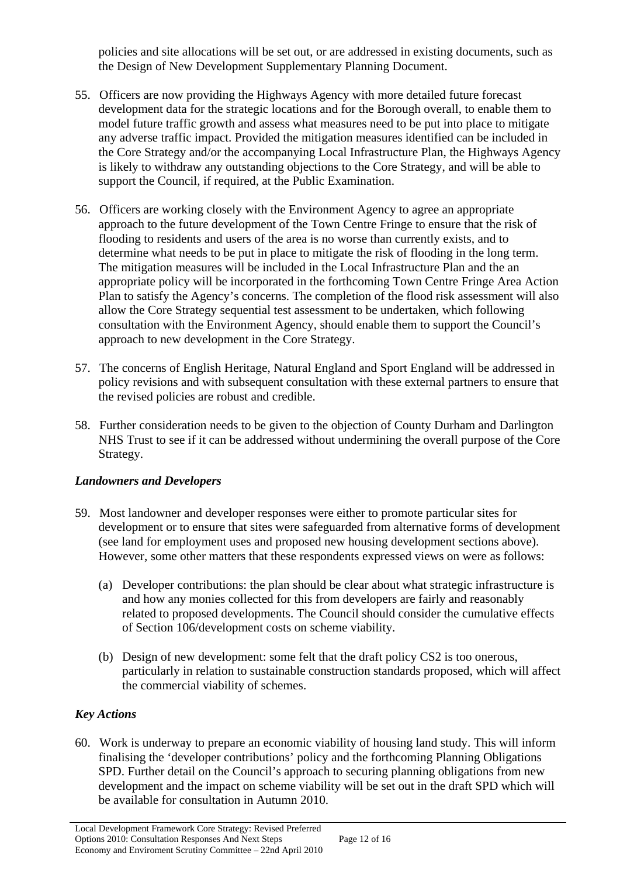policies and site allocations will be set out, or are addressed in existing documents, such as the Design of New Development Supplementary Planning Document.

- 55. Officers are now providing the Highways Agency with more detailed future forecast development data for the strategic locations and for the Borough overall, to enable them to model future traffic growth and assess what measures need to be put into place to mitigate any adverse traffic impact. Provided the mitigation measures identified can be included in the Core Strategy and/or the accompanying Local Infrastructure Plan, the Highways Agency is likely to withdraw any outstanding objections to the Core Strategy, and will be able to support the Council, if required, at the Public Examination.
- 56. Officers are working closely with the Environment Agency to agree an appropriate approach to the future development of the Town Centre Fringe to ensure that the risk of flooding to residents and users of the area is no worse than currently exists, and to determine what needs to be put in place to mitigate the risk of flooding in the long term. The mitigation measures will be included in the Local Infrastructure Plan and the an appropriate policy will be incorporated in the forthcoming Town Centre Fringe Area Action Plan to satisfy the Agency's concerns. The completion of the flood risk assessment will also allow the Core Strategy sequential test assessment to be undertaken, which following consultation with the Environment Agency, should enable them to support the Council's approach to new development in the Core Strategy.
- 57. The concerns of English Heritage, Natural England and Sport England will be addressed in policy revisions and with subsequent consultation with these external partners to ensure that the revised policies are robust and credible.
- 58. Further consideration needs to be given to the objection of County Durham and Darlington NHS Trust to see if it can be addressed without undermining the overall purpose of the Core Strategy.

## *Landowners and Developers*

- 59. Most landowner and developer responses were either to promote particular sites for development or to ensure that sites were safeguarded from alternative forms of development (see land for employment uses and proposed new housing development sections above). However, some other matters that these respondents expressed views on were as follows:
	- (a) Developer contributions: the plan should be clear about what strategic infrastructure is and how any monies collected for this from developers are fairly and reasonably related to proposed developments. The Council should consider the cumulative effects of Section 106/development costs on scheme viability.
	- (b) Design of new development: some felt that the draft policy CS2 is too onerous, particularly in relation to sustainable construction standards proposed, which will affect the commercial viability of schemes.

# *Key Actions*

60. Work is underway to prepare an economic viability of housing land study. This will inform finalising the 'developer contributions' policy and the forthcoming Planning Obligations SPD. Further detail on the Council's approach to securing planning obligations from new development and the impact on scheme viability will be set out in the draft SPD which will be available for consultation in Autumn 2010.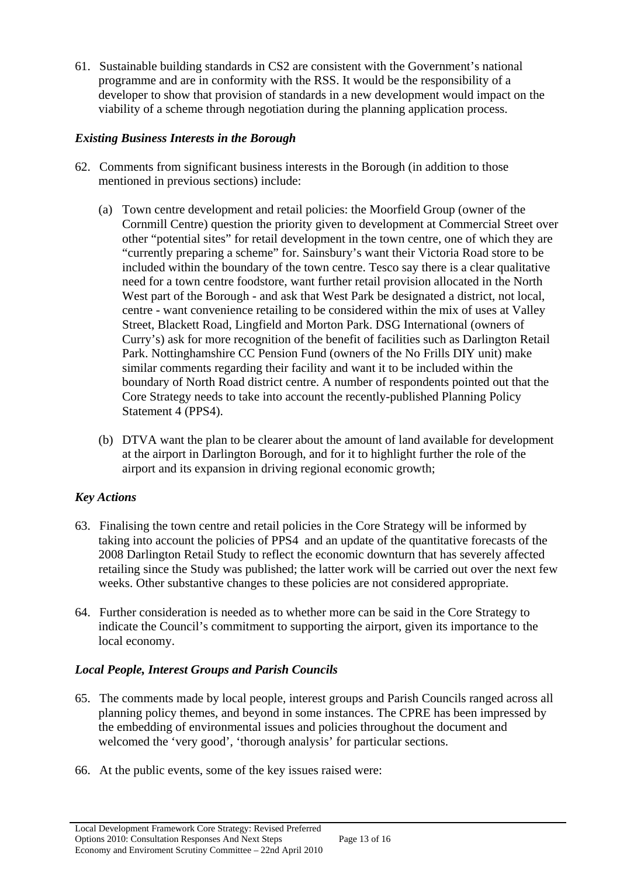61. Sustainable building standards in CS2 are consistent with the Government's national programme and are in conformity with the RSS. It would be the responsibility of a developer to show that provision of standards in a new development would impact on the viability of a scheme through negotiation during the planning application process.

#### *Existing Business Interests in the Borough*

- 62. Comments from significant business interests in the Borough (in addition to those mentioned in previous sections) include:
	- (a) Town centre development and retail policies: the Moorfield Group (owner of the Cornmill Centre) question the priority given to development at Commercial Street over other "potential sites" for retail development in the town centre, one of which they are "currently preparing a scheme" for. Sainsbury's want their Victoria Road store to be included within the boundary of the town centre. Tesco say there is a clear qualitative need for a town centre foodstore, want further retail provision allocated in the North West part of the Borough - and ask that West Park be designated a district, not local, centre - want convenience retailing to be considered within the mix of uses at Valley Street, Blackett Road, Lingfield and Morton Park. DSG International (owners of Curry's) ask for more recognition of the benefit of facilities such as Darlington Retail Park. Nottinghamshire CC Pension Fund (owners of the No Frills DIY unit) make similar comments regarding their facility and want it to be included within the boundary of North Road district centre. A number of respondents pointed out that the Core Strategy needs to take into account the recently-published Planning Policy Statement 4 (PPS4).
	- (b) DTVA want the plan to be clearer about the amount of land available for development at the airport in Darlington Borough, and for it to highlight further the role of the airport and its expansion in driving regional economic growth;

## *Key Actions*

- 63. Finalising the town centre and retail policies in the Core Strategy will be informed by taking into account the policies of PPS4 and an update of the quantitative forecasts of the 2008 Darlington Retail Study to reflect the economic downturn that has severely affected retailing since the Study was published; the latter work will be carried out over the next few weeks. Other substantive changes to these policies are not considered appropriate.
- 64. Further consideration is needed as to whether more can be said in the Core Strategy to indicate the Council's commitment to supporting the airport, given its importance to the local economy.

## *Local People, Interest Groups and Parish Councils*

- 65. The comments made by local people, interest groups and Parish Councils ranged across all planning policy themes, and beyond in some instances. The CPRE has been impressed by the embedding of environmental issues and policies throughout the document and welcomed the 'very good', 'thorough analysis' for particular sections.
- 66. At the public events, some of the key issues raised were: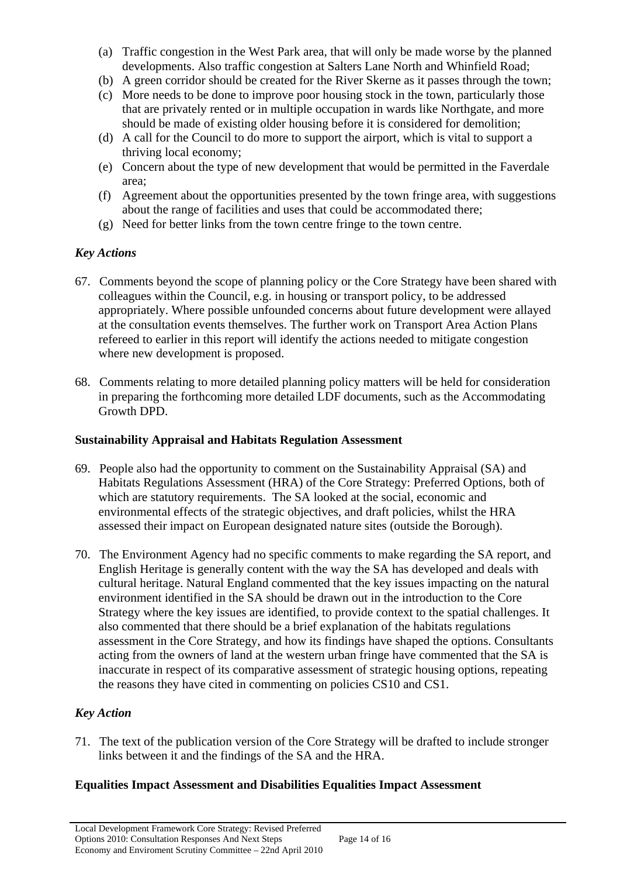- (a) Traffic congestion in the West Park area, that will only be made worse by the planned developments. Also traffic congestion at Salters Lane North and Whinfield Road;
- (b) A green corridor should be created for the River Skerne as it passes through the town;
- (c) More needs to be done to improve poor housing stock in the town, particularly those that are privately rented or in multiple occupation in wards like Northgate, and more should be made of existing older housing before it is considered for demolition;
- (d) A call for the Council to do more to support the airport, which is vital to support a thriving local economy;
- (e) Concern about the type of new development that would be permitted in the Faverdale area;
- (f) Agreement about the opportunities presented by the town fringe area, with suggestions about the range of facilities and uses that could be accommodated there;
- (g) Need for better links from the town centre fringe to the town centre.

## *Key Actions*

- 67. Comments beyond the scope of planning policy or the Core Strategy have been shared with colleagues within the Council, e.g. in housing or transport policy, to be addressed appropriately. Where possible unfounded concerns about future development were allayed at the consultation events themselves. The further work on Transport Area Action Plans refereed to earlier in this report will identify the actions needed to mitigate congestion where new development is proposed.
- 68. Comments relating to more detailed planning policy matters will be held for consideration in preparing the forthcoming more detailed LDF documents, such as the Accommodating Growth DPD.

## **Sustainability Appraisal and Habitats Regulation Assessment**

- 69. People also had the opportunity to comment on the Sustainability Appraisal (SA) and Habitats Regulations Assessment (HRA) of the Core Strategy: Preferred Options, both of which are statutory requirements. The SA looked at the social, economic and environmental effects of the strategic objectives, and draft policies, whilst the HRA assessed their impact on European designated nature sites (outside the Borough).
- 70. The Environment Agency had no specific comments to make regarding the SA report, and English Heritage is generally content with the way the SA has developed and deals with cultural heritage. Natural England commented that the key issues impacting on the natural environment identified in the SA should be drawn out in the introduction to the Core Strategy where the key issues are identified, to provide context to the spatial challenges. It also commented that there should be a brief explanation of the habitats regulations assessment in the Core Strategy, and how its findings have shaped the options. Consultants acting from the owners of land at the western urban fringe have commented that the SA is inaccurate in respect of its comparative assessment of strategic housing options, repeating the reasons they have cited in commenting on policies CS10 and CS1.

# *Key Action*

71. The text of the publication version of the Core Strategy will be drafted to include stronger links between it and the findings of the SA and the HRA.

## **Equalities Impact Assessment and Disabilities Equalities Impact Assessment**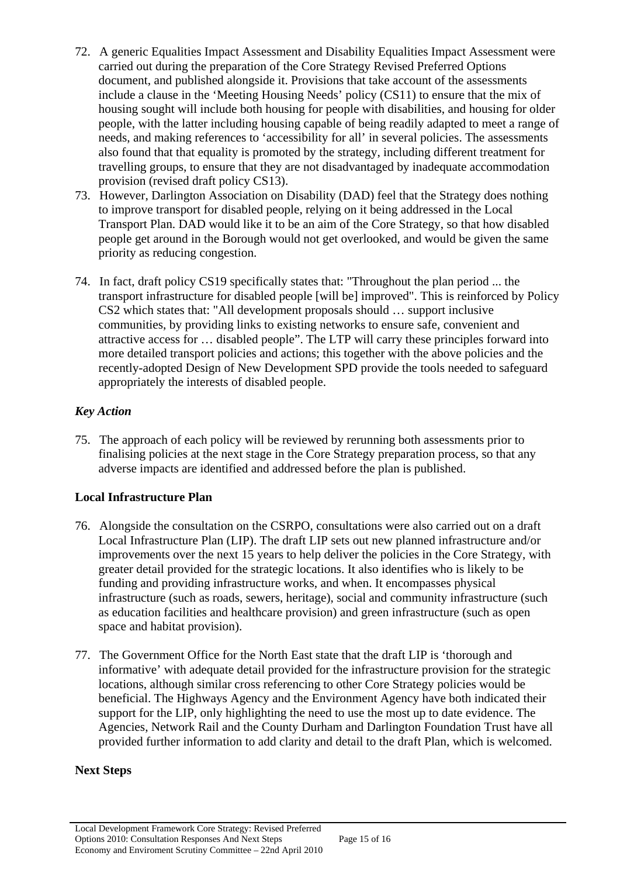- 72. A generic Equalities Impact Assessment and Disability Equalities Impact Assessment were carried out during the preparation of the Core Strategy Revised Preferred Options document, and published alongside it. Provisions that take account of the assessments include a clause in the 'Meeting Housing Needs' policy (CS11) to ensure that the mix of housing sought will include both housing for people with disabilities, and housing for older people, with the latter including housing capable of being readily adapted to meet a range of needs, and making references to 'accessibility for all' in several policies. The assessments also found that that equality is promoted by the strategy, including different treatment for travelling groups, to ensure that they are not disadvantaged by inadequate accommodation provision (revised draft policy CS13).
- 73. However, Darlington Association on Disability (DAD) feel that the Strategy does nothing to improve transport for disabled people, relying on it being addressed in the Local Transport Plan. DAD would like it to be an aim of the Core Strategy, so that how disabled people get around in the Borough would not get overlooked, and would be given the same priority as reducing congestion.
- 74. In fact, draft policy CS19 specifically states that: "Throughout the plan period ... the transport infrastructure for disabled people [will be] improved". This is reinforced by Policy CS2 which states that: "All development proposals should … support inclusive communities, by providing links to existing networks to ensure safe, convenient and attractive access for … disabled people". The LTP will carry these principles forward into more detailed transport policies and actions; this together with the above policies and the recently-adopted Design of New Development SPD provide the tools needed to safeguard appropriately the interests of disabled people.

# *Key Action*

75. The approach of each policy will be reviewed by rerunning both assessments prior to finalising policies at the next stage in the Core Strategy preparation process, so that any adverse impacts are identified and addressed before the plan is published.

# **Local Infrastructure Plan**

- 76. Alongside the consultation on the CSRPO, consultations were also carried out on a draft Local Infrastructure Plan (LIP). The draft LIP sets out new planned infrastructure and/or improvements over the next 15 years to help deliver the policies in the Core Strategy, with greater detail provided for the strategic locations. It also identifies who is likely to be funding and providing infrastructure works, and when. It encompasses physical infrastructure (such as roads, sewers, heritage), social and community infrastructure (such as education facilities and healthcare provision) and green infrastructure (such as open space and habitat provision).
- 77. The Government Office for the North East state that the draft LIP is 'thorough and informative' with adequate detail provided for the infrastructure provision for the strategic locations, although similar cross referencing to other Core Strategy policies would be beneficial. The Highways Agency and the Environment Agency have both indicated their support for the LIP, only highlighting the need to use the most up to date evidence. The Agencies, Network Rail and the County Durham and Darlington Foundation Trust have all provided further information to add clarity and detail to the draft Plan, which is welcomed.

## **Next Steps**